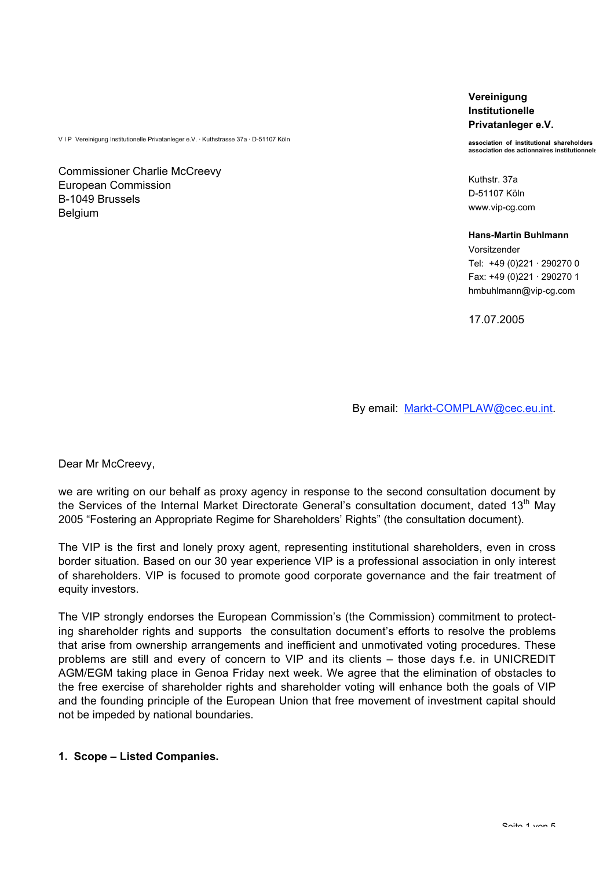V I P Vereinigung Institutionelle Privatanleger e.V. · Kuthstrasse 37a · D-51107 Köln

Commissioner Charlie McCreevy European Commission B-1049 Brussels **Belgium** 

**Vereinigung Institutionelle Privatanleger e.V.**

**association of institutional shareholders association des actionnaires institutionnels**

Kuthstr. 37a D-51107 Köln www.vip-cg.com

**Hans-Martin Buhlmann** Vorsitzender Tel: +49 (0)221 · 290270 0 Fax: +49 (0)221 · 290270 1 hmbuhlmann@vip-cg.com

17.07.2005

By email: Markt-COMPLAW@cec.eu.int.

Dear Mr McCreevy,

we are writing on our behalf as proxy agency in response to the second consultation document by the Services of the Internal Market Directorate General's consultation document, dated  $13<sup>th</sup>$  May 2005 "Fostering an Appropriate Regime for Shareholders' Rights" (the consultation document).

The VIP is the first and lonely proxy agent, representing institutional shareholders, even in cross border situation. Based on our 30 year experience VIP is a professional association in only interest of shareholders. VIP is focused to promote good corporate governance and the fair treatment of equity investors.

The VIP strongly endorses the European Commission's (the Commission) commitment to protecting shareholder rights and supports the consultation document's efforts to resolve the problems that arise from ownership arrangements and inefficient and unmotivated voting procedures. These problems are still and every of concern to VIP and its clients – those days f.e. in UNICREDIT AGM/EGM taking place in Genoa Friday next week. We agree that the elimination of obstacles to the free exercise of shareholder rights and shareholder voting will enhance both the goals of VIP and the founding principle of the European Union that free movement of investment capital should not be impeded by national boundaries.

### **1. Scope – Listed Companies.**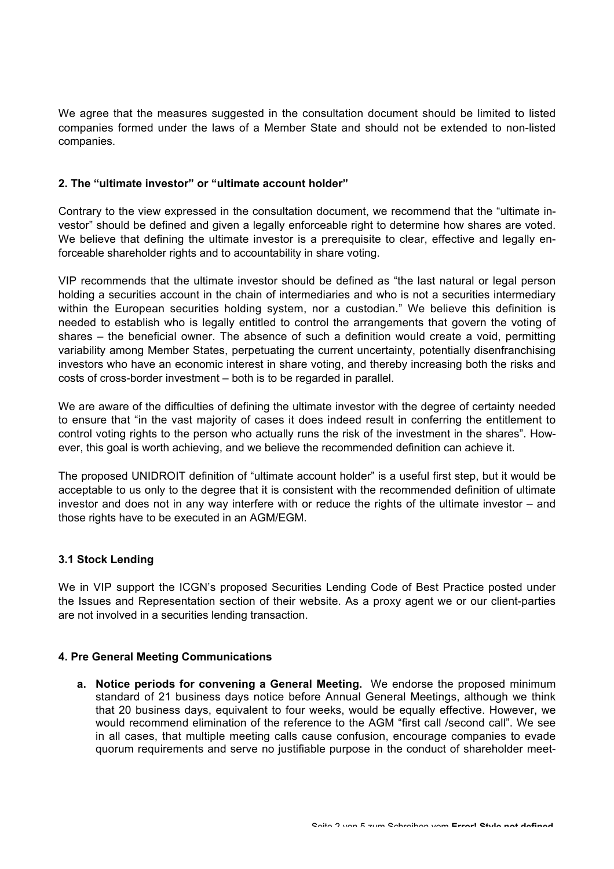We agree that the measures suggested in the consultation document should be limited to listed companies formed under the laws of a Member State and should not be extended to non-listed companies.

## **2. The "ultimate investor" or "ultimate account holder"**

Contrary to the view expressed in the consultation document, we recommend that the "ultimate investor" should be defined and given a legally enforceable right to determine how shares are voted. We believe that defining the ultimate investor is a prerequisite to clear, effective and legally enforceable shareholder rights and to accountability in share voting.

VIP recommends that the ultimate investor should be defined as "the last natural or legal person holding a securities account in the chain of intermediaries and who is not a securities intermediary within the European securities holding system, nor a custodian." We believe this definition is needed to establish who is legally entitled to control the arrangements that govern the voting of shares – the beneficial owner. The absence of such a definition would create a void, permitting variability among Member States, perpetuating the current uncertainty, potentially disenfranchising investors who have an economic interest in share voting, and thereby increasing both the risks and costs of cross-border investment – both is to be regarded in parallel.

We are aware of the difficulties of defining the ultimate investor with the degree of certainty needed to ensure that "in the vast majority of cases it does indeed result in conferring the entitlement to control voting rights to the person who actually runs the risk of the investment in the shares". However, this goal is worth achieving, and we believe the recommended definition can achieve it.

The proposed UNIDROIT definition of "ultimate account holder" is a useful first step, but it would be acceptable to us only to the degree that it is consistent with the recommended definition of ultimate investor and does not in any way interfere with or reduce the rights of the ultimate investor – and those rights have to be executed in an AGM/EGM.

## **3.1 Stock Lending**

We in VIP support the ICGN's proposed Securities Lending Code of Best Practice posted under the Issues and Representation section of their website. As a proxy agent we or our client-parties are not involved in a securities lending transaction.

### **4. Pre General Meeting Communications**

**a. Notice periods for convening a General Meeting.** We endorse the proposed minimum standard of 21 business days notice before Annual General Meetings, although we think that 20 business days, equivalent to four weeks, would be equally effective. However, we would recommend elimination of the reference to the AGM "first call /second call". We see in all cases, that multiple meeting calls cause confusion, encourage companies to evade quorum requirements and serve no justifiable purpose in the conduct of shareholder meet-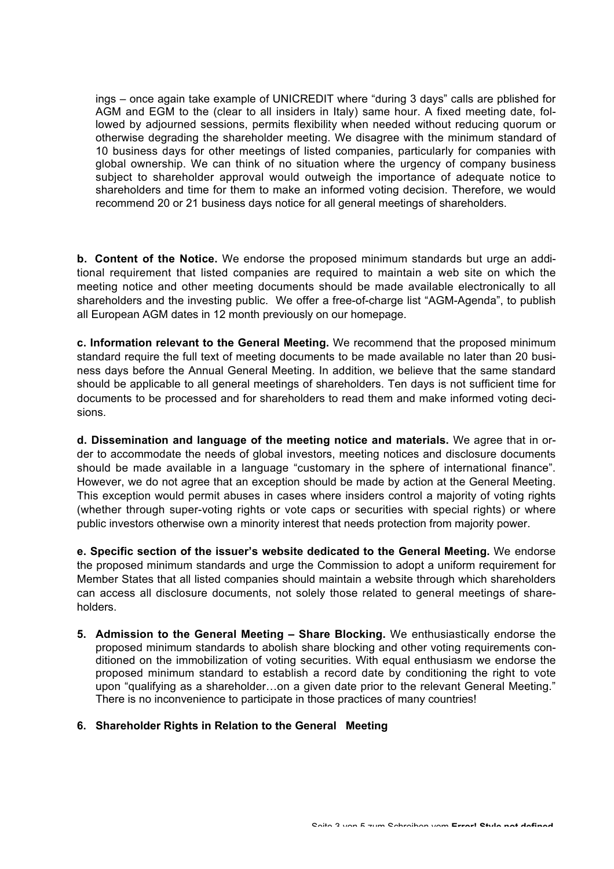ings – once again take example of UNICREDIT where "during 3 days" calls are pblished for AGM and EGM to the (clear to all insiders in Italy) same hour. A fixed meeting date, followed by adjourned sessions, permits flexibility when needed without reducing quorum or otherwise degrading the shareholder meeting. We disagree with the minimum standard of 10 business days for other meetings of listed companies, particularly for companies with global ownership. We can think of no situation where the urgency of company business subject to shareholder approval would outweigh the importance of adequate notice to shareholders and time for them to make an informed voting decision. Therefore, we would recommend 20 or 21 business days notice for all general meetings of shareholders.

**b. Content of the Notice.** We endorse the proposed minimum standards but urge an additional requirement that listed companies are required to maintain a web site on which the meeting notice and other meeting documents should be made available electronically to all shareholders and the investing public. We offer a free-of-charge list "AGM-Agenda", to publish all European AGM dates in 12 month previously on our homepage.

**c. Information relevant to the General Meeting.** We recommend that the proposed minimum standard require the full text of meeting documents to be made available no later than 20 business days before the Annual General Meeting. In addition, we believe that the same standard should be applicable to all general meetings of shareholders. Ten days is not sufficient time for documents to be processed and for shareholders to read them and make informed voting decisions.

**d. Dissemination and language of the meeting notice and materials.** We agree that in order to accommodate the needs of global investors, meeting notices and disclosure documents should be made available in a language "customary in the sphere of international finance". However, we do not agree that an exception should be made by action at the General Meeting. This exception would permit abuses in cases where insiders control a majority of voting rights (whether through super-voting rights or vote caps or securities with special rights) or where public investors otherwise own a minority interest that needs protection from majority power.

**e. Specific section of the issuer's website dedicated to the General Meeting.** We endorse the proposed minimum standards and urge the Commission to adopt a uniform requirement for Member States that all listed companies should maintain a website through which shareholders can access all disclosure documents, not solely those related to general meetings of shareholders.

**5. Admission to the General Meeting – Share Blocking.** We enthusiastically endorse the proposed minimum standards to abolish share blocking and other voting requirements conditioned on the immobilization of voting securities. With equal enthusiasm we endorse the proposed minimum standard to establish a record date by conditioning the right to vote upon "qualifying as a shareholder…on a given date prior to the relevant General Meeting." There is no inconvenience to participate in those practices of many countries!

### **6. Shareholder Rights in Relation to the General Meeting**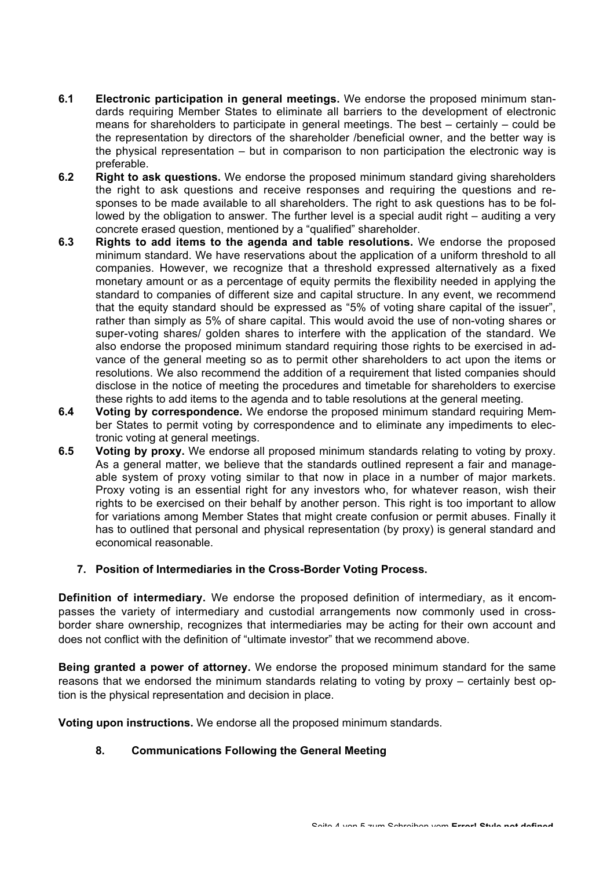- **6.1 Electronic participation in general meetings.** We endorse the proposed minimum standards requiring Member States to eliminate all barriers to the development of electronic means for shareholders to participate in general meetings. The best – certainly – could be the representation by directors of the shareholder /beneficial owner, and the better way is the physical representation – but in comparison to non participation the electronic way is preferable.
- **6.2 Right to ask questions.** We endorse the proposed minimum standard giving shareholders the right to ask questions and receive responses and requiring the questions and responses to be made available to all shareholders. The right to ask questions has to be followed by the obligation to answer. The further level is a special audit right – auditing a very concrete erased question, mentioned by a "qualified" shareholder.
- **6.3 Rights to add items to the agenda and table resolutions.** We endorse the proposed minimum standard. We have reservations about the application of a uniform threshold to all companies. However, we recognize that a threshold expressed alternatively as a fixed monetary amount or as a percentage of equity permits the flexibility needed in applying the standard to companies of different size and capital structure. In any event, we recommend that the equity standard should be expressed as "5% of voting share capital of the issuer", rather than simply as 5% of share capital. This would avoid the use of non-voting shares or super-voting shares/ golden shares to interfere with the application of the standard. We also endorse the proposed minimum standard requiring those rights to be exercised in advance of the general meeting so as to permit other shareholders to act upon the items or resolutions. We also recommend the addition of a requirement that listed companies should disclose in the notice of meeting the procedures and timetable for shareholders to exercise these rights to add items to the agenda and to table resolutions at the general meeting.
- **6.4 Voting by correspondence.** We endorse the proposed minimum standard requiring Member States to permit voting by correspondence and to eliminate any impediments to electronic voting at general meetings.
- **6.5 Voting by proxy.** We endorse all proposed minimum standards relating to voting by proxy. As a general matter, we believe that the standards outlined represent a fair and manageable system of proxy voting similar to that now in place in a number of major markets. Proxy voting is an essential right for any investors who, for whatever reason, wish their rights to be exercised on their behalf by another person. This right is too important to allow for variations among Member States that might create confusion or permit abuses. Finally it has to outlined that personal and physical representation (by proxy) is general standard and economical reasonable.

## **7. Position of Intermediaries in the Cross-Border Voting Process.**

**Definition of intermediary.** We endorse the proposed definition of intermediary, as it encompasses the variety of intermediary and custodial arrangements now commonly used in crossborder share ownership, recognizes that intermediaries may be acting for their own account and does not conflict with the definition of "ultimate investor" that we recommend above.

**Being granted a power of attorney.** We endorse the proposed minimum standard for the same reasons that we endorsed the minimum standards relating to voting by proxy – certainly best option is the physical representation and decision in place.

**Voting upon instructions.** We endorse all the proposed minimum standards.

# **8. Communications Following the General Meeting**